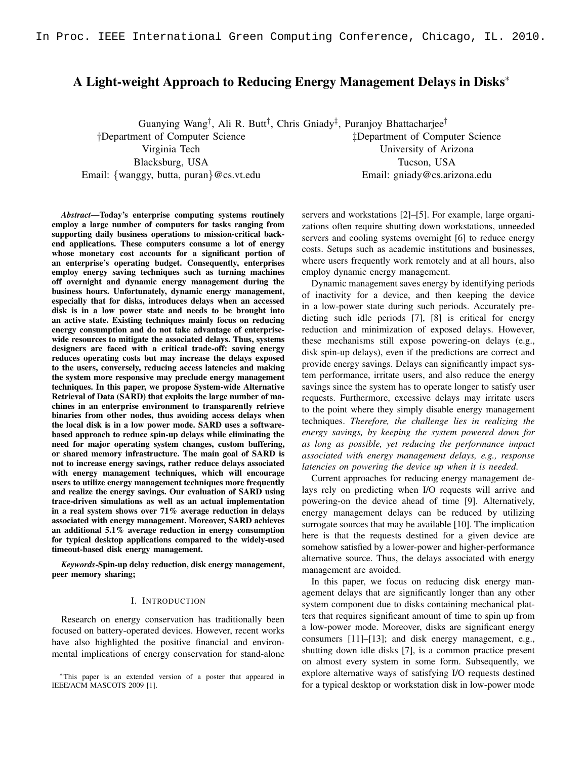# A Light-weight Approach to Reducing Energy Management Delays in Disks<sup>∗</sup>

Guanying Wang<sup>†</sup>, Ali R. Butt<sup>†</sup>, Chris Gniady<sup>‡</sup>, Puranjoy Bhattacharjee<sup>†</sup>

Blacksburg, USA Tucson, USA

†Department of Computer Science ‡Department of Computer Science Virginia Tech University of Arizona Email: {wanggy, butta, puran}@cs.vt.edu Email: gniady@cs.arizona.edu

*Abstract*—Today's enterprise computing systems routinely employ a large number of computers for tasks ranging from supporting daily business operations to mission-critical backend applications. These computers consume a lot of energy whose monetary cost accounts for a significant portion of an enterprise's operating budget. Consequently, enterprises employ energy saving techniques such as turning machines off overnight and dynamic energy management during the business hours. Unfortunately, dynamic energy management, especially that for disks, introduces delays when an accessed disk is in a low power state and needs to be brought into an active state. Existing techniques mainly focus on reducing energy consumption and do not take advantage of enterprisewide resources to mitigate the associated delays. Thus, systems designers are faced with a critical trade-off: saving energy reduces operating costs but may increase the delays exposed to the users, conversely, reducing access latencies and making the system more responsive may preclude energy management techniques. In this paper, we propose System-wide Alternative Retrieval of Data (SARD) that exploits the large number of machines in an enterprise environment to transparently retrieve binaries from other nodes, thus avoiding access delays when the local disk is in a low power mode. SARD uses a softwarebased approach to reduce spin-up delays while eliminating the need for major operating system changes, custom buffering, or shared memory infrastructure. The main goal of SARD is not to increase energy savings, rather reduce delays associated with energy management techniques, which will encourage users to utilize energy management techniques more frequently and realize the energy savings. Our evaluation of SARD using trace-driven simulations as well as an actual implementation in a real system shows over 71% average reduction in delays associated with energy management. Moreover, SARD achieves an additional 5.1% average reduction in energy consumption for typical desktop applications compared to the widely-used timeout-based disk energy management.

*Keywords*-Spin-up delay reduction, disk energy management, peer memory sharing;

#### I. INTRODUCTION

Research on energy conservation has traditionally been focused on battery-operated devices. However, recent works have also highlighted the positive financial and environmental implications of energy conservation for stand-alone servers and workstations [2]–[5]. For example, large organizations often require shutting down workstations, unneeded servers and cooling systems overnight [6] to reduce energy costs. Setups such as academic institutions and businesses, where users frequently work remotely and at all hours, also employ dynamic energy management.

Dynamic management saves energy by identifying periods of inactivity for a device, and then keeping the device in a low-power state during such periods. Accurately predicting such idle periods [7], [8] is critical for energy reduction and minimization of exposed delays. However, these mechanisms still expose powering-on delays (e.g., disk spin-up delays), even if the predictions are correct and provide energy savings. Delays can significantly impact system performance, irritate users, and also reduce the energy savings since the system has to operate longer to satisfy user requests. Furthermore, excessive delays may irritate users to the point where they simply disable energy management techniques. *Therefore, the challenge lies in realizing the energy savings, by keeping the system powered down for as long as possible, yet reducing the performance impact associated with energy management delays, e.g., response latencies on powering the device up when it is needed*.

Current approaches for reducing energy management delays rely on predicting when I/O requests will arrive and powering-on the device ahead of time [9]. Alternatively, energy management delays can be reduced by utilizing surrogate sources that may be available [10]. The implication here is that the requests destined for a given device are somehow satisfied by a lower-power and higher-performance alternative source. Thus, the delays associated with energy management are avoided.

In this paper, we focus on reducing disk energy management delays that are significantly longer than any other system component due to disks containing mechanical platters that requires significant amount of time to spin up from a low-power mode. Moreover, disks are significant energy consumers [11]–[13]; and disk energy management, e.g., shutting down idle disks [7], is a common practice present on almost every system in some form. Subsequently, we explore alternative ways of satisfying I/O requests destined for a typical desktop or workstation disk in low-power mode

<sup>∗</sup>This paper is an extended version of a poster that appeared in IEEE/ACM MASCOTS 2009 [1].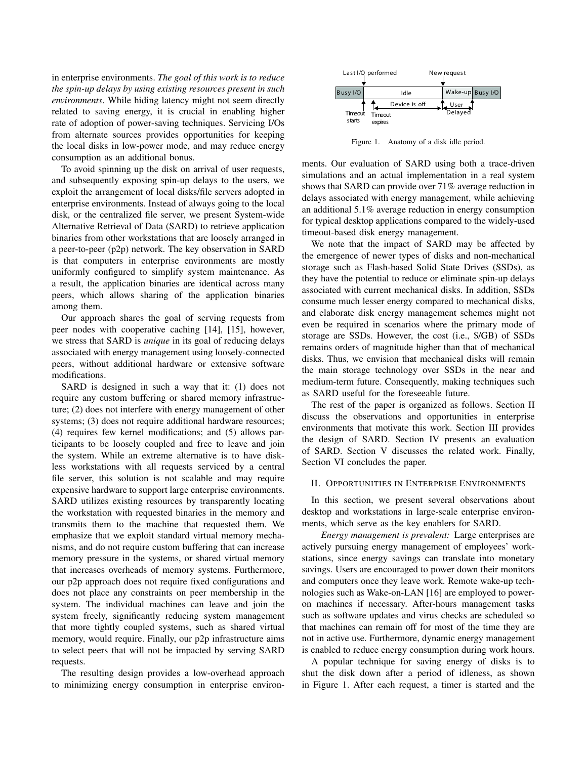in enterprise environments. *The goal of this work is to reduce the spin-up delays by using existing resources present in such environments*. While hiding latency might not seem directly related to saving energy, it is crucial in enabling higher rate of adoption of power-saving techniques. Servicing I/Os from alternate sources provides opportunities for keeping the local disks in low-power mode, and may reduce energy consumption as an additional bonus.

To avoid spinning up the disk on arrival of user requests, and subsequently exposing spin-up delays to the users, we exploit the arrangement of local disks/file servers adopted in enterprise environments. Instead of always going to the local disk, or the centralized file server, we present System-wide Alternative Retrieval of Data (SARD) to retrieve application binaries from other workstations that are loosely arranged in a peer-to-peer (p2p) network. The key observation in SARD is that computers in enterprise environments are mostly uniformly configured to simplify system maintenance. As a result, the application binaries are identical across many peers, which allows sharing of the application binaries among them.

Our approach shares the goal of serving requests from peer nodes with cooperative caching [14], [15], however, we stress that SARD is *unique* in its goal of reducing delays associated with energy management using loosely-connected peers, without additional hardware or extensive software modifications.

SARD is designed in such a way that it: (1) does not require any custom buffering or shared memory infrastructure; (2) does not interfere with energy management of other systems; (3) does not require additional hardware resources; (4) requires few kernel modifications; and (5) allows participants to be loosely coupled and free to leave and join the system. While an extreme alternative is to have diskless workstations with all requests serviced by a central file server, this solution is not scalable and may require expensive hardware to support large enterprise environments. SARD utilizes existing resources by transparently locating the workstation with requested binaries in the memory and transmits them to the machine that requested them. We emphasize that we exploit standard virtual memory mechanisms, and do not require custom buffering that can increase memory pressure in the systems, or shared virtual memory that increases overheads of memory systems. Furthermore, our p2p approach does not require fixed configurations and does not place any constraints on peer membership in the system. The individual machines can leave and join the system freely, significantly reducing system management that more tightly coupled systems, such as shared virtual memory, would require. Finally, our p2p infrastructure aims to select peers that will not be impacted by serving SARD requests.

The resulting design provides a low-overhead approach to minimizing energy consumption in enterprise environ-



Figure 1. Anatomy of a disk idle period.

ments. Our evaluation of SARD using both a trace-driven simulations and an actual implementation in a real system shows that SARD can provide over 71% average reduction in delays associated with energy management, while achieving an additional 5.1% average reduction in energy consumption for typical desktop applications compared to the widely-used timeout-based disk energy management.

We note that the impact of SARD may be affected by the emergence of newer types of disks and non-mechanical storage such as Flash-based Solid State Drives (SSDs), as they have the potential to reduce or eliminate spin-up delays associated with current mechanical disks. In addition, SSDs consume much lesser energy compared to mechanical disks, and elaborate disk energy management schemes might not even be required in scenarios where the primary mode of storage are SSDs. However, the cost (i.e., \$/GB) of SSDs remains orders of magnitude higher than that of mechanical disks. Thus, we envision that mechanical disks will remain the main storage technology over SSDs in the near and medium-term future. Consequently, making techniques such as SARD useful for the foreseeable future.

The rest of the paper is organized as follows. Section II discuss the observations and opportunities in enterprise environments that motivate this work. Section III provides the design of SARD. Section IV presents an evaluation of SARD. Section V discusses the related work. Finally, Section VI concludes the paper.

## II. OPPORTUNITIES IN ENTERPRISE ENVIRONMENTS

In this section, we present several observations about desktop and workstations in large-scale enterprise environments, which serve as the key enablers for SARD.

*Energy management is prevalent:* Large enterprises are actively pursuing energy management of employees' workstations, since energy savings can translate into monetary savings. Users are encouraged to power down their monitors and computers once they leave work. Remote wake-up technologies such as Wake-on-LAN [16] are employed to poweron machines if necessary. After-hours management tasks such as software updates and virus checks are scheduled so that machines can remain off for most of the time they are not in active use. Furthermore, dynamic energy management is enabled to reduce energy consumption during work hours.

A popular technique for saving energy of disks is to shut the disk down after a period of idleness, as shown in Figure 1. After each request, a timer is started and the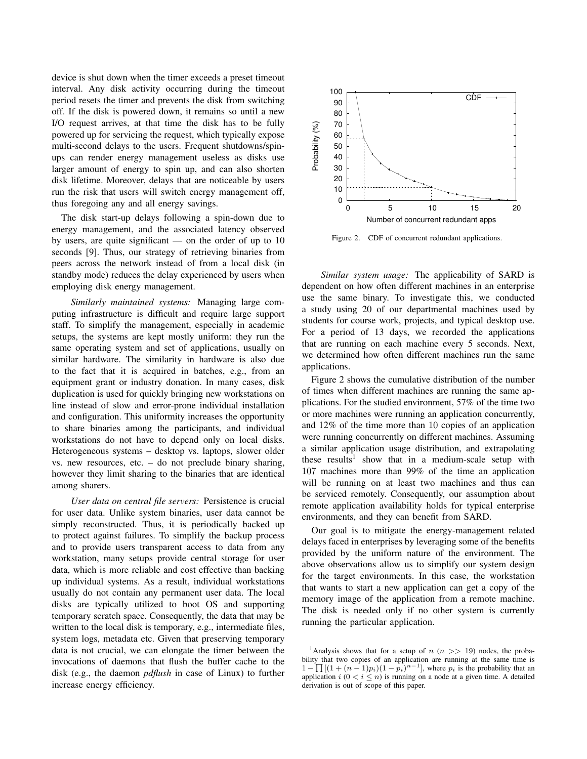device is shut down when the timer exceeds a preset timeout interval. Any disk activity occurring during the timeout period resets the timer and prevents the disk from switching off. If the disk is powered down, it remains so until a new I/O request arrives, at that time the disk has to be fully powered up for servicing the request, which typically expose multi-second delays to the users. Frequent shutdowns/spinups can render energy management useless as disks use larger amount of energy to spin up, and can also shorten disk lifetime. Moreover, delays that are noticeable by users run the risk that users will switch energy management off, thus foregoing any and all energy savings.

The disk start-up delays following a spin-down due to energy management, and the associated latency observed by users, are quite significant — on the order of up to 10 seconds [9]. Thus, our strategy of retrieving binaries from peers across the network instead of from a local disk (in standby mode) reduces the delay experienced by users when employing disk energy management.

*Similarly maintained systems:* Managing large computing infrastructure is difficult and require large support staff. To simplify the management, especially in academic setups, the systems are kept mostly uniform: they run the same operating system and set of applications, usually on similar hardware. The similarity in hardware is also due to the fact that it is acquired in batches, e.g., from an equipment grant or industry donation. In many cases, disk duplication is used for quickly bringing new workstations on line instead of slow and error-prone individual installation and configuration. This uniformity increases the opportunity to share binaries among the participants, and individual workstations do not have to depend only on local disks. Heterogeneous systems – desktop vs. laptops, slower older vs. new resources, etc. – do not preclude binary sharing, however they limit sharing to the binaries that are identical among sharers.

*User data on central file servers:* Persistence is crucial for user data. Unlike system binaries, user data cannot be simply reconstructed. Thus, it is periodically backed up to protect against failures. To simplify the backup process and to provide users transparent access to data from any workstation, many setups provide central storage for user data, which is more reliable and cost effective than backing up individual systems. As a result, individual workstations usually do not contain any permanent user data. The local disks are typically utilized to boot OS and supporting temporary scratch space. Consequently, the data that may be written to the local disk is temporary, e.g., intermediate files, system logs, metadata etc. Given that preserving temporary data is not crucial, we can elongate the timer between the invocations of daemons that flush the buffer cache to the disk (e.g., the daemon *pdflush* in case of Linux) to further increase energy efficiency.



Figure 2. CDF of concurrent redundant applications.

*Similar system usage:* The applicability of SARD is dependent on how often different machines in an enterprise use the same binary. To investigate this, we conducted a study using 20 of our departmental machines used by students for course work, projects, and typical desktop use. For a period of 13 days, we recorded the applications that are running on each machine every 5 seconds. Next, we determined how often different machines run the same applications.

Figure 2 shows the cumulative distribution of the number of times when different machines are running the same applications. For the studied environment, 57% of the time two or more machines were running an application concurrently, and 12% of the time more than 10 copies of an application were running concurrently on different machines. Assuming a similar application usage distribution, and extrapolating these results<sup>1</sup> show that in a medium-scale setup with 107 machines more than 99% of the time an application will be running on at least two machines and thus can be serviced remotely. Consequently, our assumption about remote application availability holds for typical enterprise environments, and they can benefit from SARD.

Our goal is to mitigate the energy-management related delays faced in enterprises by leveraging some of the benefits provided by the uniform nature of the environment. The above observations allow us to simplify our system design for the target environments. In this case, the workstation that wants to start a new application can get a copy of the memory image of the application from a remote machine. The disk is needed only if no other system is currently running the particular application.

<sup>&</sup>lt;sup>1</sup>Analysis shows that for a setup of  $n (n >> 19)$  nodes, the probability that two copies of an application are running at the same time is  $1 - \prod_{i=1}^{n} \left[ (1 + (n-1)p_i)(1-p_i)^{n-1} \right]$ , where  $p_i$  is the probability that an application  $i$  ( $0 < i \leq n$ ) is running on a node at a given time. A detailed derivation is out of scope of this paper.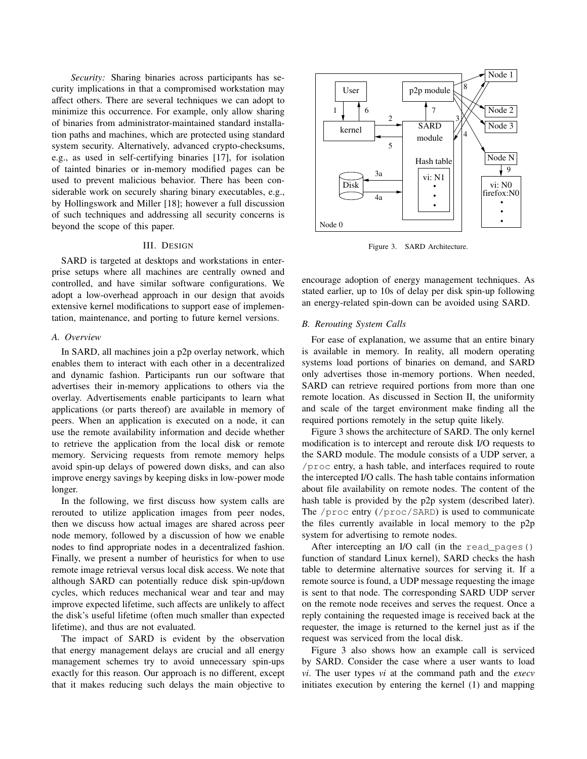*Security:* Sharing binaries across participants has security implications in that a compromised workstation may affect others. There are several techniques we can adopt to minimize this occurrence. For example, only allow sharing of binaries from administrator-maintained standard installation paths and machines, which are protected using standard system security. Alternatively, advanced crypto-checksums, e.g., as used in self-certifying binaries [17], for isolation of tainted binaries or in-memory modified pages can be used to prevent malicious behavior. There has been considerable work on securely sharing binary executables, e.g., by Hollingswork and Miller [18]; however a full discussion of such techniques and addressing all security concerns is beyond the scope of this paper.

## III. DESIGN

SARD is targeted at desktops and workstations in enterprise setups where all machines are centrally owned and controlled, and have similar software configurations. We adopt a low-overhead approach in our design that avoids extensive kernel modifications to support ease of implementation, maintenance, and porting to future kernel versions.

## *A. Overview*

In SARD, all machines join a p2p overlay network, which enables them to interact with each other in a decentralized and dynamic fashion. Participants run our software that advertises their in-memory applications to others via the overlay. Advertisements enable participants to learn what applications (or parts thereof) are available in memory of peers. When an application is executed on a node, it can use the remote availability information and decide whether to retrieve the application from the local disk or remote memory. Servicing requests from remote memory helps avoid spin-up delays of powered down disks, and can also improve energy savings by keeping disks in low-power mode longer.

In the following, we first discuss how system calls are rerouted to utilize application images from peer nodes, then we discuss how actual images are shared across peer node memory, followed by a discussion of how we enable nodes to find appropriate nodes in a decentralized fashion. Finally, we present a number of heuristics for when to use remote image retrieval versus local disk access. We note that although SARD can potentially reduce disk spin-up/down cycles, which reduces mechanical wear and tear and may improve expected lifetime, such affects are unlikely to affect the disk's useful lifetime (often much smaller than expected lifetime), and thus are not evaluated.

The impact of SARD is evident by the observation that energy management delays are crucial and all energy management schemes try to avoid unnecessary spin-ups exactly for this reason. Our approach is no different, except that it makes reducing such delays the main objective to



Figure 3. SARD Architecture.

encourage adoption of energy management techniques. As stated earlier, up to 10s of delay per disk spin-up following an energy-related spin-down can be avoided using SARD.

## *B. Rerouting System Calls*

For ease of explanation, we assume that an entire binary is available in memory. In reality, all modern operating systems load portions of binaries on demand, and SARD only advertises those in-memory portions. When needed, SARD can retrieve required portions from more than one remote location. As discussed in Section II, the uniformity and scale of the target environment make finding all the required portions remotely in the setup quite likely.

Figure 3 shows the architecture of SARD. The only kernel modification is to intercept and reroute disk I/O requests to the SARD module. The module consists of a UDP server, a /proc entry, a hash table, and interfaces required to route the intercepted I/O calls. The hash table contains information about file availability on remote nodes. The content of the hash table is provided by the p2p system (described later). The /proc entry (/proc/SARD) is used to communicate the files currently available in local memory to the p2p system for advertising to remote nodes.

After intercepting an I/O call (in the read\_pages() function of standard Linux kernel), SARD checks the hash table to determine alternative sources for serving it. If a remote source is found, a UDP message requesting the image is sent to that node. The corresponding SARD UDP server on the remote node receives and serves the request. Once a reply containing the requested image is received back at the requester, the image is returned to the kernel just as if the request was serviced from the local disk.

Figure 3 also shows how an example call is serviced by SARD. Consider the case where a user wants to load *vi*. The user types *vi* at the command path and the *execv* initiates execution by entering the kernel (1) and mapping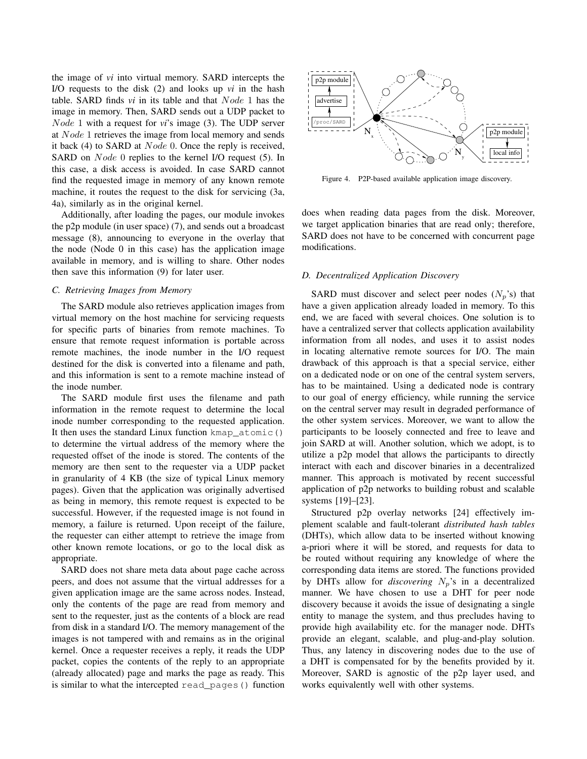the image of *vi* into virtual memory. SARD intercepts the I/O requests to the disk (2) and looks up *vi* in the hash table. SARD finds *vi* in its table and that Node 1 has the image in memory. Then, SARD sends out a UDP packet to Node 1 with a request for *vi*'s image (3). The UDP server at Node 1 retrieves the image from local memory and sends it back (4) to SARD at Node 0. Once the reply is received, SARD on Node 0 replies to the kernel I/O request (5). In this case, a disk access is avoided. In case SARD cannot find the requested image in memory of any known remote machine, it routes the request to the disk for servicing (3a, 4a), similarly as in the original kernel.

Additionally, after loading the pages, our module invokes the p2p module (in user space) (7), and sends out a broadcast message (8), announcing to everyone in the overlay that the node (Node 0 in this case) has the application image available in memory, and is willing to share. Other nodes then save this information (9) for later user.

# *C. Retrieving Images from Memory*

The SARD module also retrieves application images from virtual memory on the host machine for servicing requests for specific parts of binaries from remote machines. To ensure that remote request information is portable across remote machines, the inode number in the I/O request destined for the disk is converted into a filename and path, and this information is sent to a remote machine instead of the inode number.

The SARD module first uses the filename and path information in the remote request to determine the local inode number corresponding to the requested application. It then uses the standard Linux function kmap\_atomic() to determine the virtual address of the memory where the requested offset of the inode is stored. The contents of the memory are then sent to the requester via a UDP packet in granularity of 4 KB (the size of typical Linux memory pages). Given that the application was originally advertised as being in memory, this remote request is expected to be successful. However, if the requested image is not found in memory, a failure is returned. Upon receipt of the failure, the requester can either attempt to retrieve the image from other known remote locations, or go to the local disk as appropriate.

SARD does not share meta data about page cache across peers, and does not assume that the virtual addresses for a given application image are the same across nodes. Instead, only the contents of the page are read from memory and sent to the requester, just as the contents of a block are read from disk in a standard I/O. The memory management of the images is not tampered with and remains as in the original kernel. Once a requester receives a reply, it reads the UDP packet, copies the contents of the reply to an appropriate (already allocated) page and marks the page as ready. This is similar to what the intercepted read\_pages() function



Figure 4. P2P-based available application image discovery.

does when reading data pages from the disk. Moreover, we target application binaries that are read only; therefore, SARD does not have to be concerned with concurrent page modifications.

#### *D. Decentralized Application Discovery*

SARD must discover and select peer nodes  $(N_p)$ 's) that have a given application already loaded in memory. To this end, we are faced with several choices. One solution is to have a centralized server that collects application availability information from all nodes, and uses it to assist nodes in locating alternative remote sources for I/O. The main drawback of this approach is that a special service, either on a dedicated node or on one of the central system servers, has to be maintained. Using a dedicated node is contrary to our goal of energy efficiency, while running the service on the central server may result in degraded performance of the other system services. Moreover, we want to allow the participants to be loosely connected and free to leave and join SARD at will. Another solution, which we adopt, is to utilize a p2p model that allows the participants to directly interact with each and discover binaries in a decentralized manner. This approach is motivated by recent successful application of p2p networks to building robust and scalable systems [19]–[23].

Structured p2p overlay networks [24] effectively implement scalable and fault-tolerant *distributed hash tables* (DHTs), which allow data to be inserted without knowing a-priori where it will be stored, and requests for data to be routed without requiring any knowledge of where the corresponding data items are stored. The functions provided by DHTs allow for *discovering*  $N_p$ 's in a decentralized manner. We have chosen to use a DHT for peer node discovery because it avoids the issue of designating a single entity to manage the system, and thus precludes having to provide high availability etc. for the manager node. DHTs provide an elegant, scalable, and plug-and-play solution. Thus, any latency in discovering nodes due to the use of a DHT is compensated for by the benefits provided by it. Moreover, SARD is agnostic of the p2p layer used, and works equivalently well with other systems.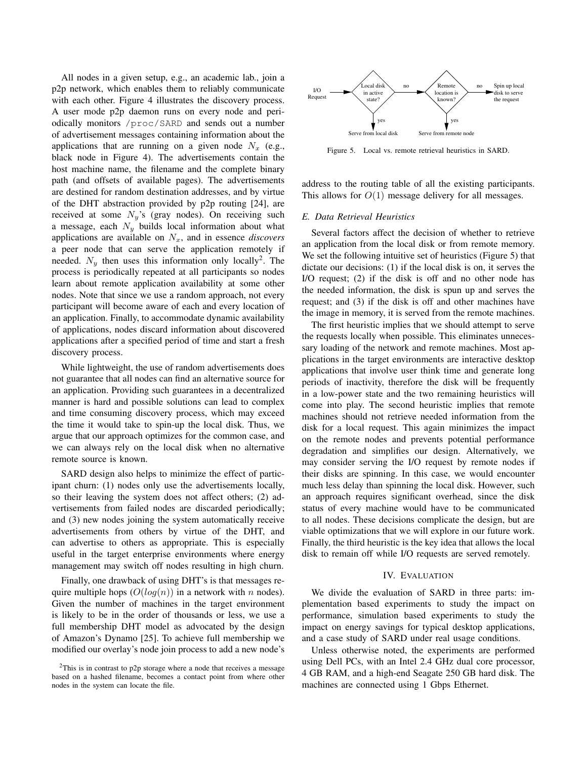All nodes in a given setup, e.g., an academic lab., join a p2p network, which enables them to reliably communicate with each other. Figure 4 illustrates the discovery process. A user mode p2p daemon runs on every node and periodically monitors /proc/SARD and sends out a number of advertisement messages containing information about the applications that are running on a given node  $N_x$  (e.g., black node in Figure 4). The advertisements contain the host machine name, the filename and the complete binary path (and offsets of available pages). The advertisements are destined for random destination addresses, and by virtue of the DHT abstraction provided by p2p routing [24], are received at some  $N_y$ 's (gray nodes). On receiving such a message, each  $N_y$  builds local information about what applications are available on  $N_x$ , and in essence *discovers* a peer node that can serve the application remotely if needed.  $N_y$  then uses this information only locally<sup>2</sup>. The process is periodically repeated at all participants so nodes learn about remote application availability at some other nodes. Note that since we use a random approach, not every participant will become aware of each and every location of an application. Finally, to accommodate dynamic availability of applications, nodes discard information about discovered applications after a specified period of time and start a fresh discovery process.

While lightweight, the use of random advertisements does not guarantee that all nodes can find an alternative source for an application. Providing such guarantees in a decentralized manner is hard and possible solutions can lead to complex and time consuming discovery process, which may exceed the time it would take to spin-up the local disk. Thus, we argue that our approach optimizes for the common case, and we can always rely on the local disk when no alternative remote source is known.

SARD design also helps to minimize the effect of participant churn: (1) nodes only use the advertisements locally, so their leaving the system does not affect others; (2) advertisements from failed nodes are discarded periodically; and (3) new nodes joining the system automatically receive advertisements from others by virtue of the DHT, and can advertise to others as appropriate. This is especially useful in the target enterprise environments where energy management may switch off nodes resulting in high churn.

Finally, one drawback of using DHT's is that messages require multiple hops  $(O(log(n))$  in a network with n nodes). Given the number of machines in the target environment is likely to be in the order of thousands or less, we use a full membership DHT model as advocated by the design of Amazon's Dynamo [25]. To achieve full membership we modified our overlay's node join process to add a new node's



Figure 5. Local vs. remote retrieval heuristics in SARD.

address to the routing table of all the existing participants. This allows for  $O(1)$  message delivery for all messages.

## *E. Data Retrieval Heuristics*

Several factors affect the decision of whether to retrieve an application from the local disk or from remote memory. We set the following intuitive set of heuristics (Figure 5) that dictate our decisions: (1) if the local disk is on, it serves the I/O request; (2) if the disk is off and no other node has the needed information, the disk is spun up and serves the request; and (3) if the disk is off and other machines have the image in memory, it is served from the remote machines.

The first heuristic implies that we should attempt to serve the requests locally when possible. This eliminates unnecessary loading of the network and remote machines. Most applications in the target environments are interactive desktop applications that involve user think time and generate long periods of inactivity, therefore the disk will be frequently in a low-power state and the two remaining heuristics will come into play. The second heuristic implies that remote machines should not retrieve needed information from the disk for a local request. This again minimizes the impact on the remote nodes and prevents potential performance degradation and simplifies our design. Alternatively, we may consider serving the I/O request by remote nodes if their disks are spinning. In this case, we would encounter much less delay than spinning the local disk. However, such an approach requires significant overhead, since the disk status of every machine would have to be communicated to all nodes. These decisions complicate the design, but are viable optimizations that we will explore in our future work. Finally, the third heuristic is the key idea that allows the local disk to remain off while I/O requests are served remotely.

#### IV. EVALUATION

We divide the evaluation of SARD in three parts: implementation based experiments to study the impact on performance, simulation based experiments to study the impact on energy savings for typical desktop applications, and a case study of SARD under real usage conditions.

Unless otherwise noted, the experiments are performed using Dell PCs, with an Intel 2.4 GHz dual core processor, 4 GB RAM, and a high-end Seagate 250 GB hard disk. The machines are connected using 1 Gbps Ethernet.

<sup>2</sup>This is in contrast to p2p storage where a node that receives a message based on a hashed filename, becomes a contact point from where other nodes in the system can locate the file.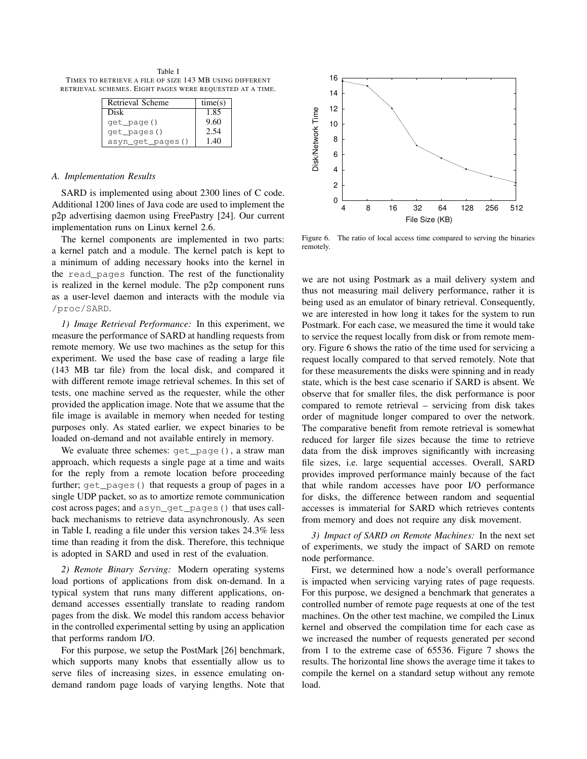Table I TIMES TO RETRIEVE A FILE OF SIZE 143 MB USING DIFFERENT RETRIEVAL SCHEMES. EIGHT PAGES WERE REQUESTED AT A TIME.

| Retrieval Scheme | time(s) |
|------------------|---------|
| Disk             | 1.85    |
| get_page()       | 9.60    |
| get_pages()      | 2.54    |
| asyn_get_pages() | 140     |

#### *A. Implementation Results*

SARD is implemented using about 2300 lines of C code. Additional 1200 lines of Java code are used to implement the p2p advertising daemon using FreePastry [24]. Our current implementation runs on Linux kernel 2.6.

The kernel components are implemented in two parts: a kernel patch and a module. The kernel patch is kept to a minimum of adding necessary hooks into the kernel in the read\_pages function. The rest of the functionality is realized in the kernel module. The p2p component runs as a user-level daemon and interacts with the module via /proc/SARD.

*1) Image Retrieval Performance:* In this experiment, we measure the performance of SARD at handling requests from remote memory. We use two machines as the setup for this experiment. We used the base case of reading a large file (143 MB tar file) from the local disk, and compared it with different remote image retrieval schemes. In this set of tests, one machine served as the requester, while the other provided the application image. Note that we assume that the file image is available in memory when needed for testing purposes only. As stated earlier, we expect binaries to be loaded on-demand and not available entirely in memory.

We evaluate three schemes:  $get\_page()$ , a straw man approach, which requests a single page at a time and waits for the reply from a remote location before proceeding further; get\_pages() that requests a group of pages in a single UDP packet, so as to amortize remote communication cost across pages; and asyn\_get\_pages() that uses callback mechanisms to retrieve data asynchronously. As seen in Table I, reading a file under this version takes 24.3% less time than reading it from the disk. Therefore, this technique is adopted in SARD and used in rest of the evaluation.

*2) Remote Binary Serving:* Modern operating systems load portions of applications from disk on-demand. In a typical system that runs many different applications, ondemand accesses essentially translate to reading random pages from the disk. We model this random access behavior in the controlled experimental setting by using an application that performs random I/O.

For this purpose, we setup the PostMark [26] benchmark, which supports many knobs that essentially allow us to serve files of increasing sizes, in essence emulating ondemand random page loads of varying lengths. Note that



Figure 6. The ratio of local access time compared to serving the binaries remotely.

we are not using Postmark as a mail delivery system and thus not measuring mail delivery performance, rather it is being used as an emulator of binary retrieval. Consequently, we are interested in how long it takes for the system to run Postmark. For each case, we measured the time it would take to service the request locally from disk or from remote memory. Figure 6 shows the ratio of the time used for servicing a request locally compared to that served remotely. Note that for these measurements the disks were spinning and in ready state, which is the best case scenario if SARD is absent. We observe that for smaller files, the disk performance is poor compared to remote retrieval – servicing from disk takes order of magnitude longer compared to over the network. The comparative benefit from remote retrieval is somewhat reduced for larger file sizes because the time to retrieve data from the disk improves significantly with increasing file sizes, i.e. large sequential accesses. Overall, SARD provides improved performance mainly because of the fact that while random accesses have poor I/O performance for disks, the difference between random and sequential accesses is immaterial for SARD which retrieves contents from memory and does not require any disk movement.

*3) Impact of SARD on Remote Machines:* In the next set of experiments, we study the impact of SARD on remote node performance.

First, we determined how a node's overall performance is impacted when servicing varying rates of page requests. For this purpose, we designed a benchmark that generates a controlled number of remote page requests at one of the test machines. On the other test machine, we compiled the Linux kernel and observed the compilation time for each case as we increased the number of requests generated per second from 1 to the extreme case of 65536. Figure 7 shows the results. The horizontal line shows the average time it takes to compile the kernel on a standard setup without any remote load.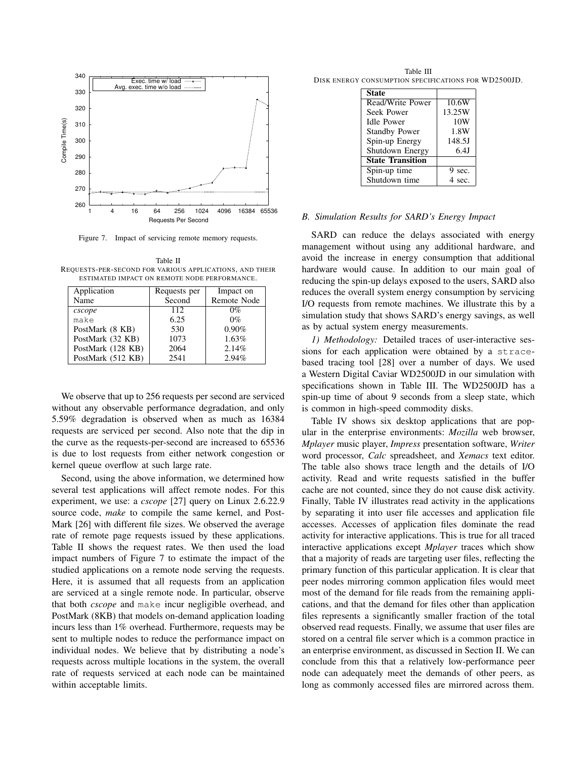

Figure 7. Impact of servicing remote memory requests.

Table II REQUESTS-PER-SECOND FOR VARIOUS APPLICATIONS, AND THEIR ESTIMATED IMPACT ON REMOTE NODE PERFORMANCE.

| Application       | Requests per | Impact on   |
|-------------------|--------------|-------------|
| Name              | Second       | Remote Node |
| cscope            | 112          | $0\%$       |
| make              | 6.25         | $0\%$       |
| PostMark (8 KB)   | 530          | 0.90%       |
| PostMark (32 KB)  | 1073         | 1.63%       |
| PostMark (128 KB) | 2064         | 2.14%       |
| PostMark (512 KB) | 2541         | 2.94%       |

We observe that up to 256 requests per second are serviced without any observable performance degradation, and only 5.59% degradation is observed when as much as 16384 requests are serviced per second. Also note that the dip in the curve as the requests-per-second are increased to 65536 is due to lost requests from either network congestion or kernel queue overflow at such large rate.

Second, using the above information, we determined how several test applications will affect remote nodes. For this experiment, we use: a *cscope* [27] query on Linux 2.6.22.9 source code, *make* to compile the same kernel, and Post-Mark [26] with different file sizes. We observed the average rate of remote page requests issued by these applications. Table II shows the request rates. We then used the load impact numbers of Figure 7 to estimate the impact of the studied applications on a remote node serving the requests. Here, it is assumed that all requests from an application are serviced at a single remote node. In particular, observe that both *cscope* and make incur negligible overhead, and PostMark (8KB) that models on-demand application loading incurs less than 1% overhead. Furthermore, requests may be sent to multiple nodes to reduce the performance impact on individual nodes. We believe that by distributing a node's requests across multiple locations in the system, the overall rate of requests serviced at each node can be maintained within acceptable limits.

Table III DISK ENERGY CONSUMPTION SPECIFICATIONS FOR WD2500JD.

| <b>State</b>            |        |
|-------------------------|--------|
| Read/Write Power        | 10.6W  |
| Seek Power              | 13.25W |
| <b>Idle Power</b>       | 10W    |
| <b>Standby Power</b>    | 1.8W   |
| Spin-up Energy          | 148.5J |
| Shutdown Energy         | 6.4J   |
| <b>State Transition</b> |        |
| Spin-up time            | 9 sec. |
| Shutdown time           | 4 sec. |

## *B. Simulation Results for SARD's Energy Impact*

SARD can reduce the delays associated with energy management without using any additional hardware, and avoid the increase in energy consumption that additional hardware would cause. In addition to our main goal of reducing the spin-up delays exposed to the users, SARD also reduces the overall system energy consumption by servicing I/O requests from remote machines. We illustrate this by a simulation study that shows SARD's energy savings, as well as by actual system energy measurements.

*1) Methodology:* Detailed traces of user-interactive sessions for each application were obtained by a stracebased tracing tool [28] over a number of days. We used a Western Digital Caviar WD2500JD in our simulation with specifications shown in Table III. The WD2500JD has a spin-up time of about 9 seconds from a sleep state, which is common in high-speed commodity disks.

Table IV shows six desktop applications that are popular in the enterprise environments: *Mozilla* web browser, *Mplayer* music player, *Impress* presentation software, *Writer* word processor, *Calc* spreadsheet, and *Xemacs* text editor. The table also shows trace length and the details of I/O activity. Read and write requests satisfied in the buffer cache are not counted, since they do not cause disk activity. Finally, Table IV illustrates read activity in the applications by separating it into user file accesses and application file accesses. Accesses of application files dominate the read activity for interactive applications. This is true for all traced interactive applications except *Mplayer* traces which show that a majority of reads are targeting user files, reflecting the primary function of this particular application. It is clear that peer nodes mirroring common application files would meet most of the demand for file reads from the remaining applications, and that the demand for files other than application files represents a significantly smaller fraction of the total observed read requests. Finally, we assume that user files are stored on a central file server which is a common practice in an enterprise environment, as discussed in Section II. We can conclude from this that a relatively low-performance peer node can adequately meet the demands of other peers, as long as commonly accessed files are mirrored across them.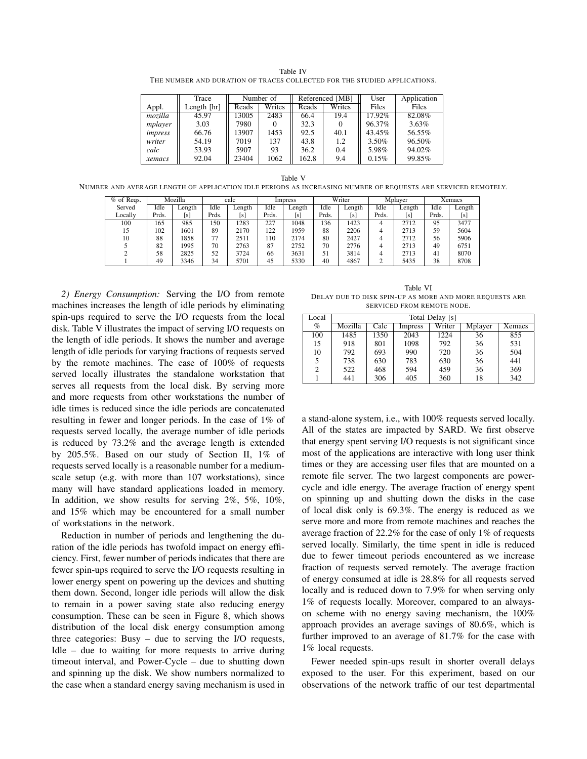Table IV THE NUMBER AND DURATION OF TRACES COLLECTED FOR THE STUDIED APPLICATIONS.

|         | Trace         | Number of |        |       | Referenced [MB] | User   | Application |
|---------|---------------|-----------|--------|-------|-----------------|--------|-------------|
| Appl.   | Length $[hr]$ | Reads     | Writes | Reads | Writes          | Files  | Files       |
| mozilla | 45.97         | 13005     | 2483   | 66.4  | 19.4            | 17.92% | 82.08%      |
| mplayer | 3.03          | 7980      |        | 32.3  |                 | 96.37% | $3.63\%$    |
| impress | 66.76         | 13907     | 1453   | 92.5  | 40.1            | 43.45% | 56.55%      |
| writer  | 54.19         | 7019      | 137    | 43.8  | 1.2             | 3.50%  | 96.50%      |
| calc    | 53.93         | 5907      | 93     | 36.2  | 0.4             | 5.98%  | 94.02%      |
| xemacs  | 92.04         | 23404     | 1062   | 162.8 | 9.4             | 0.15%  | 99.85%      |

Table V NUMBER AND AVERAGE LENGTH OF APPLICATION IDLE PERIODS AS INCREASING NUMBER OF REQUESTS ARE SERVICED REMOTELY.

| $%$ of Reqs. |       | Mozilla |       | calc   |       | Impress |       | Writer |       | Mplayer |       | Xemacs |
|--------------|-------|---------|-------|--------|-------|---------|-------|--------|-------|---------|-------|--------|
|              |       |         |       |        |       |         |       |        |       |         |       |        |
| Served       | Idle  | Length  | Idle  | Length | Idle  | Length  | Idle  | Length | Idle  | Length  | Idle  | Length |
| Locally      | Prds. | [s]     | Prds. | [s]    | Prds. | [s]     | Prds. | [s]    | Prds. | [s]     | Prds. | [s]    |
| 100          | 165   | 985     | l 50  | 1283   | 227   | 1048    | 136   | 1423   |       | 2712    | 95    | 3477   |
| 15           | 102   | 1601    | 89    | 2170   | 122   | 1959    | 88    | 2206   | 4     | 2713    | 59    | 5604   |
| 10           | 88    | 1858    | 77    | 2511   | 110   | 2174    | 80    | 2427   | 4     | 2712    | 56    | 5906   |
|              | 82    | 1995    | 70    | 2763   | 87    | 2752    | 70    | 2776   | 4     | 2713    | 49    | 6751   |
|              | 58    | 2825    | 52    | 3724   | 66    | 3631    | 51    | 3814   | 4     | 2713    | 41    | 8070   |
|              | 49    | 3346    | 34    | 5701   | 45    | 5330    | 40    | 4867   |       | 5435    | 38    | 8708   |

*2) Energy Consumption:* Serving the I/O from remote machines increases the length of idle periods by eliminating spin-ups required to serve the I/O requests from the local disk. Table V illustrates the impact of serving I/O requests on the length of idle periods. It shows the number and average length of idle periods for varying fractions of requests served by the remote machines. The case of 100% of requests served locally illustrates the standalone workstation that serves all requests from the local disk. By serving more and more requests from other workstations the number of idle times is reduced since the idle periods are concatenated resulting in fewer and longer periods. In the case of 1% of requests served locally, the average number of idle periods is reduced by 73.2% and the average length is extended by 205.5%. Based on our study of Section II, 1% of requests served locally is a reasonable number for a mediumscale setup (e.g. with more than 107 workstations), since many will have standard applications loaded in memory. In addition, we show results for serving 2%, 5%, 10%, and 15% which may be encountered for a small number of workstations in the network.

Reduction in number of periods and lengthening the duration of the idle periods has twofold impact on energy efficiency. First, fewer number of periods indicates that there are fewer spin-ups required to serve the I/O requests resulting in lower energy spent on powering up the devices and shutting them down. Second, longer idle periods will allow the disk to remain in a power saving state also reducing energy consumption. These can be seen in Figure 8, which shows distribution of the local disk energy consumption among three categories: Busy – due to serving the I/O requests, Idle – due to waiting for more requests to arrive during timeout interval, and Power-Cycle – due to shutting down and spinning up the disk. We show numbers normalized to the case when a standard energy saving mechanism is used in

Table VI DELAY DUE TO DISK SPIN-UP AS MORE AND MORE REQUESTS ARE SERVICED FROM REMOTE NODE.

| Local | Total Delay [s] |      |         |        |         |               |  |  |  |
|-------|-----------------|------|---------|--------|---------|---------------|--|--|--|
| $\%$  | Mozilla         | Calc | Impress | Writer | Mplayer | <b>Xemacs</b> |  |  |  |
| 100   | 1485            | 1350 | 2043    | 1224   | 36      | 855           |  |  |  |
| 15    | 918             | 801  | 1098    | 792    | 36      | 531           |  |  |  |
| 10    | 792             | 693  | 990     | 720    | 36      | 504           |  |  |  |
| 5     | 738             | 630  | 783     | 630    | 36      | 441           |  |  |  |
| 2     | 522             | 468  | 594     | 459    | 36      | 369           |  |  |  |
|       | 441             | 306  | 405     | 360    | 18      | 342           |  |  |  |

a stand-alone system, i.e., with 100% requests served locally. All of the states are impacted by SARD. We first observe that energy spent serving I/O requests is not significant since most of the applications are interactive with long user think times or they are accessing user files that are mounted on a remote file server. The two largest components are powercycle and idle energy. The average fraction of energy spent on spinning up and shutting down the disks in the case of local disk only is 69.3%. The energy is reduced as we serve more and more from remote machines and reaches the average fraction of 22.2% for the case of only 1% of requests served locally. Similarly, the time spent in idle is reduced due to fewer timeout periods encountered as we increase fraction of requests served remotely. The average fraction of energy consumed at idle is 28.8% for all requests served locally and is reduced down to 7.9% for when serving only 1% of requests locally. Moreover, compared to an alwayson scheme with no energy saving mechanism, the 100% approach provides an average savings of 80.6%, which is further improved to an average of 81.7% for the case with 1% local requests.

Fewer needed spin-ups result in shorter overall delays exposed to the user. For this experiment, based on our observations of the network traffic of our test departmental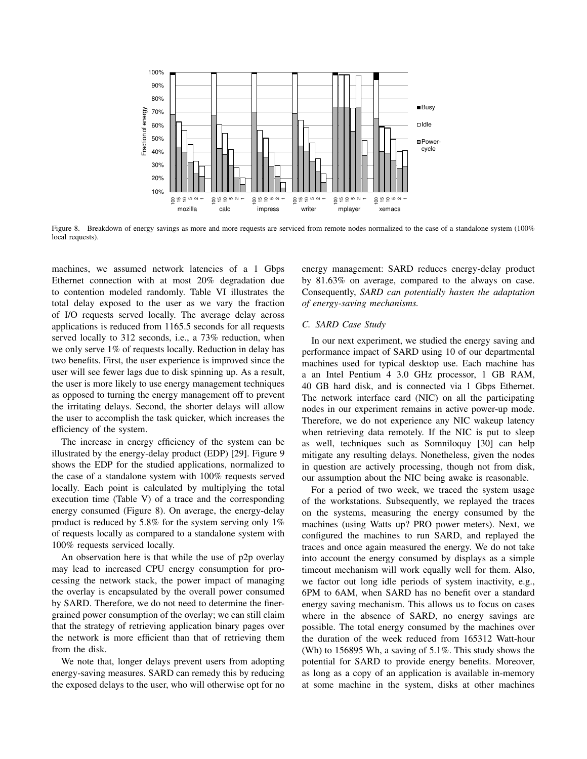

Figure 8. Breakdown of energy savings as more and more requests are serviced from remote nodes normalized to the case of a standalone system (100%) local requests).

machines, we assumed network latencies of a 1 Gbps Ethernet connection with at most 20% degradation due to contention modeled randomly. Table VI illustrates the total delay exposed to the user as we vary the fraction of I/O requests served locally. The average delay across applications is reduced from 1165.5 seconds for all requests served locally to 312 seconds, i.e., a 73% reduction, when we only serve 1% of requests locally. Reduction in delay has two benefits. First, the user experience is improved since the user will see fewer lags due to disk spinning up. As a result, the user is more likely to use energy management techniques as opposed to turning the energy management off to prevent the irritating delays. Second, the shorter delays will allow the user to accomplish the task quicker, which increases the efficiency of the system.

The increase in energy efficiency of the system can be illustrated by the energy-delay product (EDP) [29]. Figure 9 shows the EDP for the studied applications, normalized to the case of a standalone system with 100% requests served locally. Each point is calculated by multiplying the total execution time (Table V) of a trace and the corresponding energy consumed (Figure 8). On average, the energy-delay product is reduced by 5.8% for the system serving only 1% of requests locally as compared to a standalone system with 100% requests serviced locally.

An observation here is that while the use of p2p overlay may lead to increased CPU energy consumption for processing the network stack, the power impact of managing the overlay is encapsulated by the overall power consumed by SARD. Therefore, we do not need to determine the finergrained power consumption of the overlay; we can still claim that the strategy of retrieving application binary pages over the network is more efficient than that of retrieving them from the disk.

We note that, longer delays prevent users from adopting energy-saving measures. SARD can remedy this by reducing the exposed delays to the user, who will otherwise opt for no energy management: SARD reduces energy-delay product by 81.63% on average, compared to the always on case. Consequently, *SARD can potentially hasten the adaptation of energy-saving mechanisms.*

## *C. SARD Case Study*

In our next experiment, we studied the energy saving and performance impact of SARD using 10 of our departmental machines used for typical desktop use. Each machine has a an Intel Pentium 4 3.0 GHz processor, 1 GB RAM, 40 GB hard disk, and is connected via 1 Gbps Ethernet. The network interface card (NIC) on all the participating nodes in our experiment remains in active power-up mode. Therefore, we do not experience any NIC wakeup latency when retrieving data remotely. If the NIC is put to sleep as well, techniques such as Somniloquy [30] can help mitigate any resulting delays. Nonetheless, given the nodes in question are actively processing, though not from disk, our assumption about the NIC being awake is reasonable.

For a period of two week, we traced the system usage of the workstations. Subsequently, we replayed the traces on the systems, measuring the energy consumed by the machines (using Watts up? PRO power meters). Next, we configured the machines to run SARD, and replayed the traces and once again measured the energy. We do not take into account the energy consumed by displays as a simple timeout mechanism will work equally well for them. Also, we factor out long idle periods of system inactivity, e.g., 6PM to 6AM, when SARD has no benefit over a standard energy saving mechanism. This allows us to focus on cases where in the absence of SARD, no energy savings are possible. The total energy consumed by the machines over the duration of the week reduced from 165312 Watt-hour (Wh) to 156895 Wh, a saving of 5.1%. This study shows the potential for SARD to provide energy benefits. Moreover, as long as a copy of an application is available in-memory at some machine in the system, disks at other machines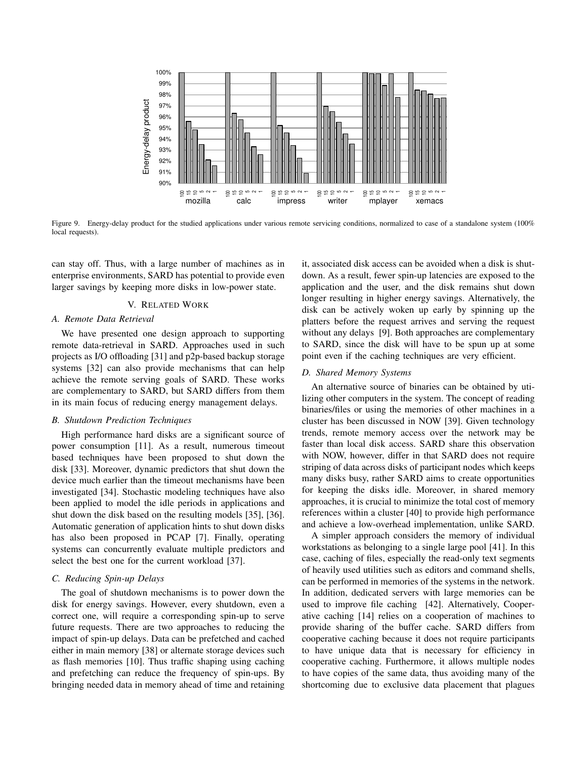

Figure 9. Energy-delay product for the studied applications under various remote servicing conditions, normalized to case of a standalone system (100%) local requests).

can stay off. Thus, with a large number of machines as in enterprise environments, SARD has potential to provide even larger savings by keeping more disks in low-power state.

# V. RELATED WORK

# *A. Remote Data Retrieval*

We have presented one design approach to supporting remote data-retrieval in SARD. Approaches used in such projects as I/O offloading [31] and p2p-based backup storage systems [32] can also provide mechanisms that can help achieve the remote serving goals of SARD. These works are complementary to SARD, but SARD differs from them in its main focus of reducing energy management delays.

# *B. Shutdown Prediction Techniques*

High performance hard disks are a significant source of power consumption [11]. As a result, numerous timeout based techniques have been proposed to shut down the disk [33]. Moreover, dynamic predictors that shut down the device much earlier than the timeout mechanisms have been investigated [34]. Stochastic modeling techniques have also been applied to model the idle periods in applications and shut down the disk based on the resulting models [35], [36]. Automatic generation of application hints to shut down disks has also been proposed in PCAP [7]. Finally, operating systems can concurrently evaluate multiple predictors and select the best one for the current workload [37].

## *C. Reducing Spin-up Delays*

The goal of shutdown mechanisms is to power down the disk for energy savings. However, every shutdown, even a correct one, will require a corresponding spin-up to serve future requests. There are two approaches to reducing the impact of spin-up delays. Data can be prefetched and cached either in main memory [38] or alternate storage devices such as flash memories [10]. Thus traffic shaping using caching and prefetching can reduce the frequency of spin-ups. By bringing needed data in memory ahead of time and retaining it, associated disk access can be avoided when a disk is shutdown. As a result, fewer spin-up latencies are exposed to the application and the user, and the disk remains shut down longer resulting in higher energy savings. Alternatively, the disk can be actively woken up early by spinning up the platters before the request arrives and serving the request without any delays [9]. Both approaches are complementary to SARD, since the disk will have to be spun up at some point even if the caching techniques are very efficient.

# *D. Shared Memory Systems*

An alternative source of binaries can be obtained by utilizing other computers in the system. The concept of reading binaries/files or using the memories of other machines in a cluster has been discussed in NOW [39]. Given technology trends, remote memory access over the network may be faster than local disk access. SARD share this observation with NOW, however, differ in that SARD does not require striping of data across disks of participant nodes which keeps many disks busy, rather SARD aims to create opportunities for keeping the disks idle. Moreover, in shared memory approaches, it is crucial to minimize the total cost of memory references within a cluster [40] to provide high performance and achieve a low-overhead implementation, unlike SARD.

A simpler approach considers the memory of individual workstations as belonging to a single large pool [41]. In this case, caching of files, especially the read-only text segments of heavily used utilities such as editors and command shells, can be performed in memories of the systems in the network. In addition, dedicated servers with large memories can be used to improve file caching [42]. Alternatively, Cooperative caching [14] relies on a cooperation of machines to provide sharing of the buffer cache. SARD differs from cooperative caching because it does not require participants to have unique data that is necessary for efficiency in cooperative caching. Furthermore, it allows multiple nodes to have copies of the same data, thus avoiding many of the shortcoming due to exclusive data placement that plagues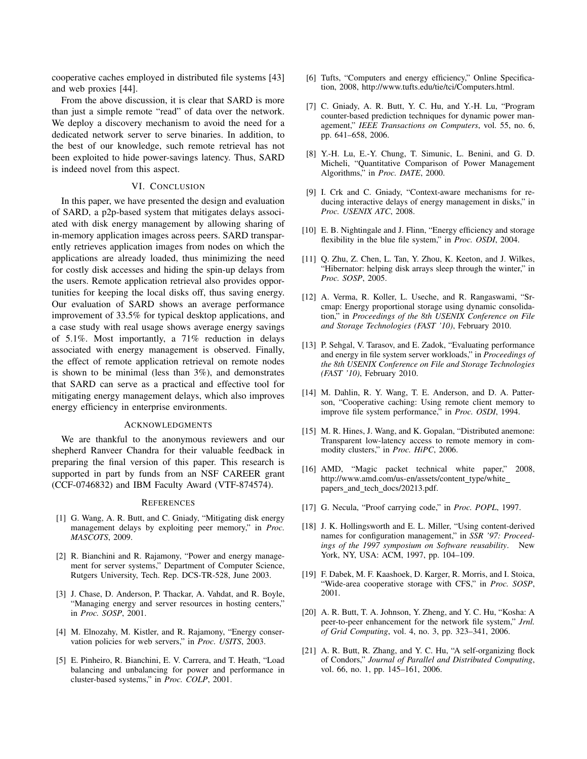cooperative caches employed in distributed file systems [43] and web proxies [44].

From the above discussion, it is clear that SARD is more than just a simple remote "read" of data over the network. We deploy a discovery mechanism to avoid the need for a dedicated network server to serve binaries. In addition, to the best of our knowledge, such remote retrieval has not been exploited to hide power-savings latency. Thus, SARD is indeed novel from this aspect.

## VI. CONCLUSION

In this paper, we have presented the design and evaluation of SARD, a p2p-based system that mitigates delays associated with disk energy management by allowing sharing of in-memory application images across peers. SARD transparently retrieves application images from nodes on which the applications are already loaded, thus minimizing the need for costly disk accesses and hiding the spin-up delays from the users. Remote application retrieval also provides opportunities for keeping the local disks off, thus saving energy. Our evaluation of SARD shows an average performance improvement of 33.5% for typical desktop applications, and a case study with real usage shows average energy savings of 5.1%. Most importantly, a 71% reduction in delays associated with energy management is observed. Finally, the effect of remote application retrieval on remote nodes is shown to be minimal (less than 3%), and demonstrates that SARD can serve as a practical and effective tool for mitigating energy management delays, which also improves energy efficiency in enterprise environments.

#### ACKNOWLEDGMENTS

We are thankful to the anonymous reviewers and our shepherd Ranveer Chandra for their valuable feedback in preparing the final version of this paper. This research is supported in part by funds from an NSF CAREER grant (CCF-0746832) and IBM Faculty Award (VTF-874574).

#### **REFERENCES**

- [1] G. Wang, A. R. Butt, and C. Gniady, "Mitigating disk energy management delays by exploiting peer memory," in *Proc. MASCOTS*, 2009.
- [2] R. Bianchini and R. Rajamony, "Power and energy management for server systems," Department of Computer Science, Rutgers University, Tech. Rep. DCS-TR-528, June 2003.
- [3] J. Chase, D. Anderson, P. Thackar, A. Vahdat, and R. Boyle, "Managing energy and server resources in hosting centers," in *Proc. SOSP*, 2001.
- [4] M. Elnozahy, M. Kistler, and R. Rajamony, "Energy conservation policies for web servers," in *Proc. USITS*, 2003.
- [5] E. Pinheiro, R. Bianchini, E. V. Carrera, and T. Heath, "Load balancing and unbalancing for power and performance in cluster-based systems," in *Proc. COLP*, 2001.
- [6] Tufts, "Computers and energy efficiency," Online Specification, 2008, http://www.tufts.edu/tie/tci/Computers.html.
- [7] C. Gniady, A. R. Butt, Y. C. Hu, and Y.-H. Lu, "Program counter-based prediction techniques for dynamic power management," *IEEE Transactions on Computers*, vol. 55, no. 6, pp. 641–658, 2006.
- [8] Y.-H. Lu, E.-Y. Chung, T. Simunic, L. Benini, and G. D. Micheli, "Quantitative Comparison of Power Management Algorithms," in *Proc. DATE*, 2000.
- [9] I. Crk and C. Gniady, "Context-aware mechanisms for reducing interactive delays of energy management in disks," in *Proc. USENIX ATC*, 2008.
- [10] E. B. Nightingale and J. Flinn, "Energy efficiency and storage flexibility in the blue file system," in *Proc. OSDI*, 2004.
- [11] Q. Zhu, Z. Chen, L. Tan, Y. Zhou, K. Keeton, and J. Wilkes, "Hibernator: helping disk arrays sleep through the winter," in *Proc. SOSP*, 2005.
- [12] A. Verma, R. Koller, L. Useche, and R. Rangaswami, "Srcmap: Energy proportional storage using dynamic consolidation," in *Proceedings of the 8th USENIX Conference on File and Storage Technologies (FAST '10)*, February 2010.
- [13] P. Sehgal, V. Tarasov, and E. Zadok, "Evaluating performance and energy in file system server workloads," in *Proceedings of the 8th USENIX Conference on File and Storage Technologies (FAST '10)*, February 2010.
- [14] M. Dahlin, R. Y. Wang, T. E. Anderson, and D. A. Patterson, "Cooperative caching: Using remote client memory to improve file system performance," in *Proc. OSDI*, 1994.
- [15] M. R. Hines, J. Wang, and K. Gopalan, "Distributed anemone: Transparent low-latency access to remote memory in commodity clusters," in *Proc. HiPC*, 2006.
- [16] AMD, "Magic packet technical white paper," 2008, http://www.amd.com/us-en/assets/content\_type/white\_ papers and tech docs/20213.pdf.
- [17] G. Necula, "Proof carrying code," in *Proc. POPL*, 1997.
- [18] J. K. Hollingsworth and E. L. Miller, "Using content-derived" names for configuration management," in *SSR '97: Proceedings of the 1997 symposium on Software reusability*. New York, NY, USA: ACM, 1997, pp. 104–109.
- [19] F. Dabek, M. F. Kaashoek, D. Karger, R. Morris, and I. Stoica, "Wide-area cooperative storage with CFS," in *Proc. SOSP*, 2001.
- [20] A. R. Butt, T. A. Johnson, Y. Zheng, and Y. C. Hu, "Kosha: A peer-to-peer enhancement for the network file system," *Jrnl. of Grid Computing*, vol. 4, no. 3, pp. 323–341, 2006.
- [21] A. R. Butt, R. Zhang, and Y. C. Hu, "A self-organizing flock of Condors," *Journal of Parallel and Distributed Computing*, vol. 66, no. 1, pp. 145–161, 2006.